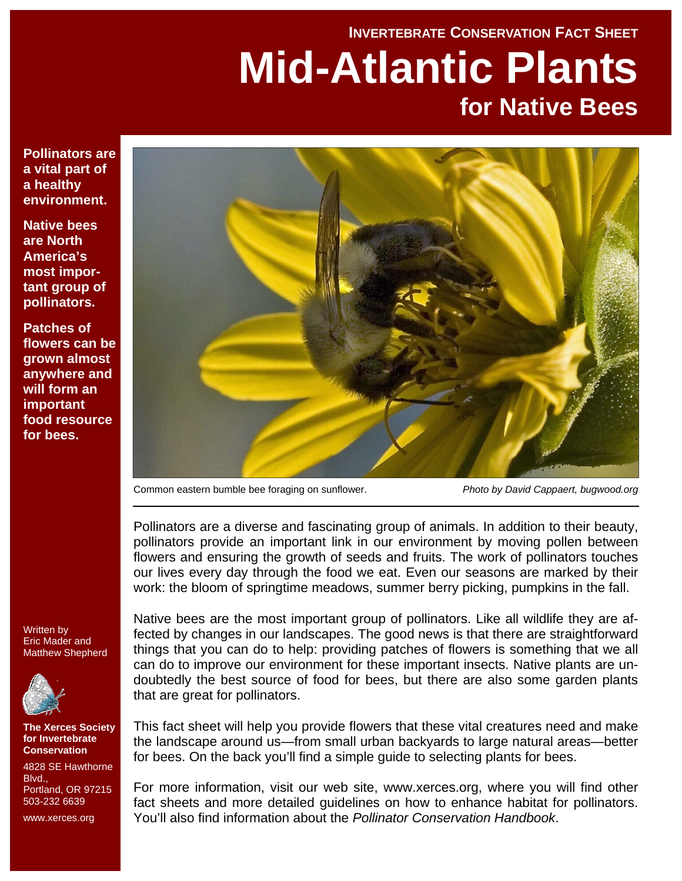# **INVERTEBRATE CONSERVATION FACT SHEET Mid-Atlantic Plants for Native Bees**

**Pollinators are a vital part of a healthy environment.** 

**Native bees are North America's most important group of pollinators.** 

**Patches of flowers can be grown almost anywhere and will form an important food resource for bees.** 



Common eastern bumble bee foraging on sunflower. *Photo by David Cappaert, bugwood.org*

Pollinators are a diverse and fascinating group of animals. In addition to their beauty, pollinators provide an important link in our environment by moving pollen between flowers and ensuring the growth of seeds and fruits. The work of pollinators touches our lives every day through the food we eat. Even our seasons are marked by their work: the bloom of springtime meadows, summer berry picking, pumpkins in the fall.

Written by Eric Mader and Matthew Shepherd



**The Xerces Society for Invertebrate Conservation** 

4828 SE Hawthorne **Blvd.** Portland, OR 97215 503-232 6639

www.xerces.org

Native bees are the most important group of pollinators. Like all wildlife they are affected by changes in our landscapes. The good news is that there are straightforward things that you can do to help: providing patches of flowers is something that we all can do to improve our environment for these important insects. Native plants are undoubtedly the best source of food for bees, but there are also some garden plants that are great for pollinators.

This fact sheet will help you provide flowers that these vital creatures need and make the landscape around us—from small urban backyards to large natural areas—better for bees. On the back you'll find a simple guide to selecting plants for bees.

For more information, visit our web site, www.xerces.org, where you will find other fact sheets and more detailed guidelines on how to enhance habitat for pollinators. You'll also find information about the *Pollinator Conservation Handbook*.